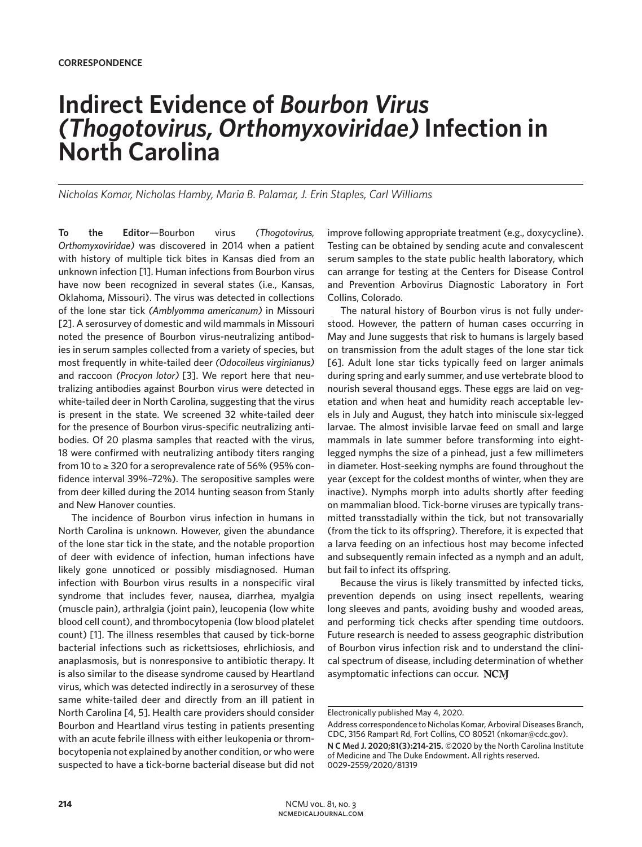## **Indirect Evidence of** *Bourbon Virus (Thogotovirus, Orthomyxoviridae)* **Infection in North Carolina**

*Nicholas Komar, Nicholas Hamby, Maria B. Palamar, J. Erin Staples, Carl Williams*

**To the Editor**—Bourbon virus *(Thogotovirus, Orthomyxoviridae)* was discovered in 2014 when a patient with history of multiple tick bites in Kansas died from an unknown infection [1]. Human infections from Bourbon virus have now been recognized in several states (i.e., Kansas, Oklahoma, Missouri). The virus was detected in collections of the lone star tick *(Amblyomma americanum)* in Missouri [2]. A serosurvey of domestic and wild mammals in Missouri noted the presence of Bourbon virus-neutralizing antibodies in serum samples collected from a variety of species, but most frequently in white-tailed deer *(Odocoileus virginianus)* and raccoon *(Procyon lotor)* [3]. We report here that neutralizing antibodies against Bourbon virus were detected in white-tailed deer in North Carolina, suggesting that the virus is present in the state. We screened 32 white-tailed deer for the presence of Bourbon virus-specific neutralizing antibodies. Of 20 plasma samples that reacted with the virus, 18 were confirmed with neutralizing antibody titers ranging from 10 to ≥ 320 for a seroprevalence rate of 56% (95% confidence interval 39%–72%). The seropositive samples were from deer killed during the 2014 hunting season from Stanly and New Hanover counties.

The incidence of Bourbon virus infection in humans in North Carolina is unknown. However, given the abundance of the lone star tick in the state, and the notable proportion of deer with evidence of infection, human infections have likely gone unnoticed or possibly misdiagnosed. Human infection with Bourbon virus results in a nonspecific viral syndrome that includes fever, nausea, diarrhea, myalgia (muscle pain), arthralgia (joint pain), leucopenia (low white blood cell count), and thrombocytopenia (low blood platelet count) [1]. The illness resembles that caused by tick-borne bacterial infections such as rickettsioses, ehrlichiosis, and anaplasmosis, but is nonresponsive to antibiotic therapy. It is also similar to the disease syndrome caused by Heartland virus, which was detected indirectly in a serosurvey of these same white-tailed deer and directly from an ill patient in North Carolina [4, 5]. Health care providers should consider Bourbon and Heartland virus testing in patients presenting with an acute febrile illness with either leukopenia or thrombocytopenia not explained by another condition, or who were suspected to have a tick-borne bacterial disease but did not

improve following appropriate treatment (e.g., doxycycline). Testing can be obtained by sending acute and convalescent serum samples to the state public health laboratory, which can arrange for testing at the Centers for Disease Control and Prevention Arbovirus Diagnostic Laboratory in Fort Collins, Colorado.

The natural history of Bourbon virus is not fully understood. However, the pattern of human cases occurring in May and June suggests that risk to humans is largely based on transmission from the adult stages of the lone star tick [6]. Adult lone star ticks typically feed on larger animals during spring and early summer, and use vertebrate blood to nourish several thousand eggs. These eggs are laid on vegetation and when heat and humidity reach acceptable levels in July and August, they hatch into miniscule six-legged larvae. The almost invisible larvae feed on small and large mammals in late summer before transforming into eightlegged nymphs the size of a pinhead, just a few millimeters in diameter. Host-seeking nymphs are found throughout the year (except for the coldest months of winter, when they are inactive). Nymphs morph into adults shortly after feeding on mammalian blood. Tick-borne viruses are typically transmitted transstadially within the tick, but not transovarially (from the tick to its offspring). Therefore, it is expected that a larva feeding on an infectious host may become infected and subsequently remain infected as a nymph and an adult, but fail to infect its offspring.

Because the virus is likely transmitted by infected ticks, prevention depends on using insect repellents, wearing long sleeves and pants, avoiding bushy and wooded areas, and performing tick checks after spending time outdoors. Future research is needed to assess geographic distribution of Bourbon virus infection risk and to understand the clinical spectrum of disease, including determination of whether asymptomatic infections can occur. NCM

Electronically published May 4, 2020.

Address correspondence to Nicholas Komar, Arboviral Diseases Branch, CDC, 3156 Rampart Rd, Fort Collins, CO 80521 (nkomar@cdc.gov). **N C Med J. 2020;81(3):214-215.** ©2020 by the North Carolina Institute of Medicine and The Duke Endowment. All rights reserved. 0029-2559/2020/81319